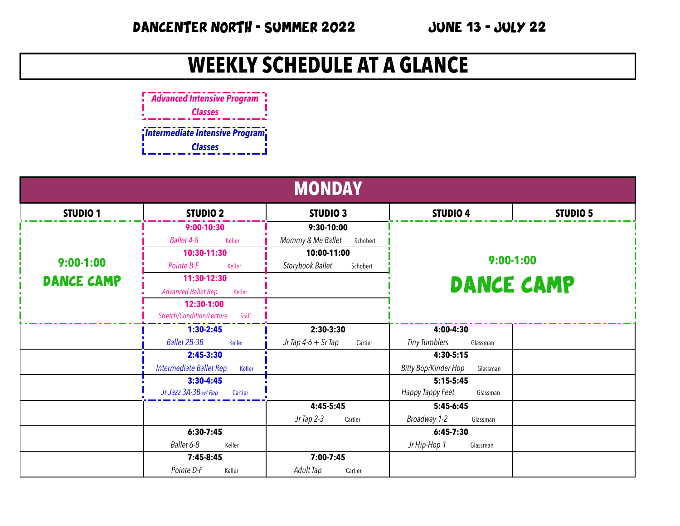## **WEEKLY SCHEDULE AT A GLANCE**



| <b>MONDAY</b>     |                                      |                                  |                                         |                 |
|-------------------|--------------------------------------|----------------------------------|-----------------------------------------|-----------------|
| <b>STUDIO 1</b>   | <b>STUDIO 2</b>                      | STUDIO <sub>3</sub>              | <b>STUDIO 4</b>                         | <b>STUDIO 5</b> |
|                   | $9:00-10:30$                         | 9:30-10:00                       |                                         |                 |
|                   | Ballet 4-8<br>Keller                 | Mommy & Me Ballet<br>Schobert    |                                         |                 |
|                   | 10:30-11:30                          | 10:00-11:00                      | $9:00-1:00$                             |                 |
| $9:00-1:00$       | Pointe B-F<br>Keller                 | Storybook Ballet<br>Schobert     |                                         |                 |
| <b>DANCE CAMP</b> | 11:30-12:30                          |                                  | <b>DANCE CAMP</b>                       |                 |
|                   | <b>Advanced Ballet Rep</b><br>Keller |                                  |                                         |                 |
|                   | 12:30-1:00                           |                                  |                                         |                 |
|                   | Stretch/Condition/Lecture<br>Staff   |                                  |                                         |                 |
|                   | $1:30-2:45$                          | 2:30-3:30                        | 4:00-4:30                               |                 |
|                   | <b>Ballet 2B-3B</b><br>Keller        | Jr Tap $4-6 + Sr$ Tap<br>Cartier | <b>Tiny Tumblers</b><br>Glassman        |                 |
|                   | $2:45-3:30$                          |                                  | $4:30-5:15$                             |                 |
|                   | Intermediate Ballet Rep<br>Keller    |                                  | <b>Bitty Bop/Kinder Hop</b><br>Glassman |                 |
|                   | $3:30-4:45$                          |                                  | $5:15-5:45$                             |                 |
|                   | Jr Jazz 3A-3B w/Rep<br>Cartier       |                                  | Happy Tappy Feet<br>Glassman            |                 |
|                   |                                      | $4:45-5:45$                      | $5:45-6:45$                             |                 |
|                   |                                      | Jr Tap 2-3<br>Cartier            | Broadway 1-2<br>Glassman                |                 |
|                   | $6:30-7:45$                          |                                  | $6:45-7:30$                             |                 |
|                   | Ballet 6-8<br>Keller                 |                                  | Jr Hip-Hop 1<br>Glassman                |                 |
|                   | 7:45-8:45                            | 7:00-7:45                        |                                         |                 |
|                   | Pointe D-F<br>Keller                 | Adult Tap<br>Cartier             |                                         |                 |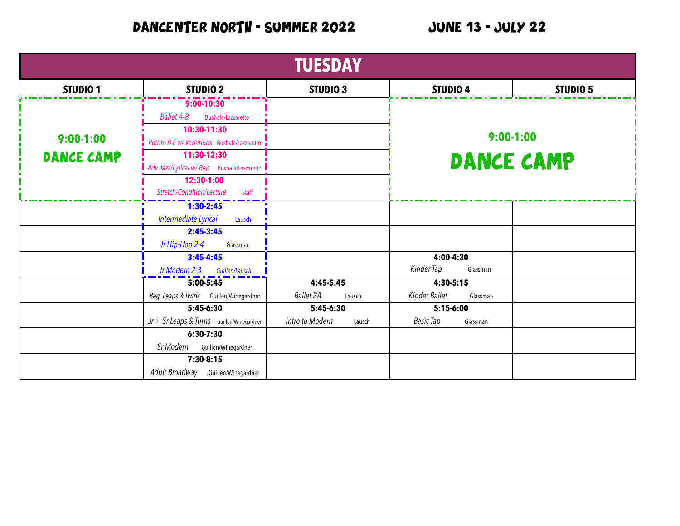DANCENTER NORTH - SUMMER 2022 JUNE 13 - JULY 22

| <b>TUESDAY</b>    |                                             |                            |                              |             |  |
|-------------------|---------------------------------------------|----------------------------|------------------------------|-------------|--|
| <b>STUDIO 1</b>   | <b>STUDIO 2</b>                             | STUDIO <sub>3</sub>        | <b>STUDIO 4</b>              | STUDIO 5    |  |
|                   | $9:00-10:30$                                |                            |                              |             |  |
|                   | Ballet 4-8<br>Bushala/Lazzaretto            |                            |                              |             |  |
|                   | 10:30-11:30                                 |                            |                              |             |  |
| $9:00-1:00$       | Pointe B-F w/ Variations Bushala/Lazzaretto |                            |                              | $9:00-1:00$ |  |
| <b>DANCE CAMP</b> | 11:30-12:30                                 |                            | <b>DANCE CAMP</b>            |             |  |
|                   | Adv Jazz/Lyrical w/ Rep Bushala/Lazzaretto  |                            |                              |             |  |
|                   | 12:30-1:00                                  |                            |                              |             |  |
|                   | Stretch/Condition/Lecture<br>Staff          |                            |                              |             |  |
|                   | $1:30-2:45$                                 |                            |                              |             |  |
|                   | Intermediate Lyrical<br>Lausch              |                            |                              |             |  |
|                   | $2:45-3:45$                                 |                            |                              |             |  |
|                   | Jr Hip-Hop 2-4<br>Glassman                  |                            |                              |             |  |
|                   | $3:45 - 4:45$                               |                            | 4:00-4:30                    |             |  |
|                   | Jr Modern 2-3<br>Guillen/Lausch             |                            | Kinder Tap<br>Glassman       |             |  |
|                   | $5:00-5:45$                                 | 4:45-5:45                  | $4:30-5:15$                  |             |  |
|                   | Beg. Leaps & Twirls Guillen/Winegardner     | <b>Ballet 2A</b><br>Lausch | Kinder Ballet<br>Glassman    |             |  |
|                   | $5:45-6:30$                                 | $5:45-6:30$                | $5:15-6:00$                  |             |  |
|                   | $Jr + Sr$ Leaps & Turns Guillen/Winegardner | Intro to Modern<br>Lausch  | <b>Basic Tap</b><br>Glassman |             |  |
|                   | $6:30-7:30$                                 |                            |                              |             |  |
|                   | Sr Modern Guillen/Winegardner               |                            |                              |             |  |
|                   | $7:30-8:15$                                 |                            |                              |             |  |
|                   | Adult Broadway<br>Guillen/Winegardner       |                            |                              |             |  |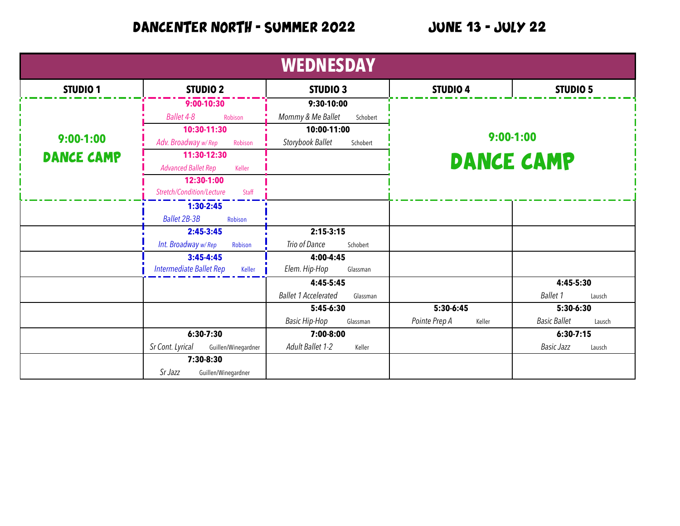## DANCENTER NORTH - SUMMER 2022 JUNE 13 - JULY 22

| <b>WEDNESDAY</b>  |                                         |                                         |                                  |                               |
|-------------------|-----------------------------------------|-----------------------------------------|----------------------------------|-------------------------------|
| <b>STUDIO 1</b>   | <b>STUDIO 2</b>                         | STUDIO <sub>3</sub>                     | <b>STUDIO 4</b>                  | STUDIO 5                      |
|                   | $9:00-10:30$                            | 9:30-10:00                              |                                  |                               |
|                   | Ballet 4-8<br>Robison                   | Mommy & Me Ballet<br>Schobert           |                                  |                               |
|                   | 10:30-11:30                             | 10:00-11:00                             | $9:00-1:00$<br><b>DANCE CAMP</b> |                               |
| $9:00-1:00$       | Adv. Broadway w/Rep<br>Robison          | Storybook Ballet<br>Schobert            |                                  |                               |
| <b>DANCE CAMP</b> | 11:30-12:30                             |                                         |                                  |                               |
|                   | <b>Advanced Ballet Rep</b><br>Keller    |                                         |                                  |                               |
|                   | 12:30-1:00                              |                                         |                                  |                               |
|                   | Stretch/Condition/Lecture<br>Staff      |                                         |                                  |                               |
|                   | $1:30-2:45$                             |                                         |                                  |                               |
|                   | <b>Ballet 2B-3B</b><br>Robison          |                                         |                                  |                               |
|                   | $2:45-3:45$                             | $2:15-3:15$                             |                                  |                               |
|                   | Int. Broadway w/Rep<br>Robison          | Trio of Dance<br>Schobert               |                                  |                               |
|                   | $3:45 - 4:45$                           | 4:00-4:45                               |                                  |                               |
|                   | Intermediate Ballet Rep<br>Keller       | Elem. Hip-Hop<br>Glassman               |                                  |                               |
|                   |                                         | 4:45-5:45                               |                                  | 4:45-5:30                     |
|                   |                                         | <b>Ballet 1 Accelerated</b><br>Glassman |                                  | <b>Ballet 1</b><br>Lausch     |
|                   |                                         | 5:45-6:30                               | $5:30-6:45$                      | 5:30-6:30                     |
|                   |                                         | <b>Basic Hip-Hop</b><br>Glassman        | Pointe Prep A<br>Keller          | <b>Basic Ballet</b><br>Lausch |
|                   | $6:30 - 7:30$                           | 7:00-8:00                               |                                  | $6:30 - 7:15$                 |
|                   | Sr Cont. Lyrical<br>Guillen/Winegardner | Adult Ballet 1-2<br>Keller              |                                  | <b>Basic Jazz</b><br>Lausch   |
|                   | 7:30-8:30                               |                                         |                                  |                               |
|                   | Sr Jazz<br>Guillen/Winegardner          |                                         |                                  |                               |